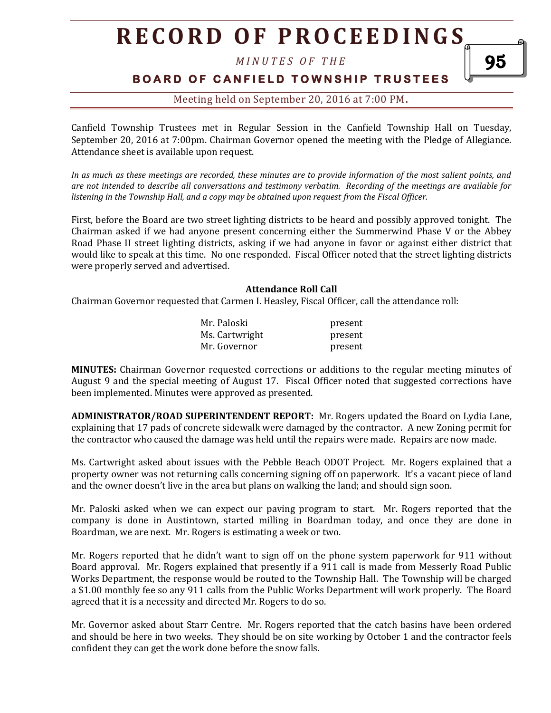*M I N U T E S O F T H E* 

# **B O A R D O F C A N F I E L D T O W N S H I P T R U S T E E S**

95

# Meeting held on September 20, 2016 at 7:00 PM**.**

Canfield Township Trustees met in Regular Session in the Canfield Township Hall on Tuesday, September 20, 2016 at 7:00pm. Chairman Governor opened the meeting with the Pledge of Allegiance. Attendance sheet is available upon request.

*In as much as these meetings are recorded, these minutes are to provide information of the most salient points, and are not intended to describe all conversations and testimony verbatim. Recording of the meetings are available for listening in the Township Hall, and a copy may be obtained upon request from the Fiscal Officer.* 

First, before the Board are two street lighting districts to be heard and possibly approved tonight. The Chairman asked if we had anyone present concerning either the Summerwind Phase V or the Abbey Road Phase II street lighting districts, asking if we had anyone in favor or against either district that would like to speak at this time. No one responded. Fiscal Officer noted that the street lighting districts were properly served and advertised.

#### **Attendance Roll Call**

Chairman Governor requested that Carmen I. Heasley, Fiscal Officer, call the attendance roll:

| Mr. Paloski    | present |
|----------------|---------|
| Ms. Cartwright | present |
| Mr. Governor   | present |

**MINUTES:** Chairman Governor requested corrections or additions to the regular meeting minutes of August 9 and the special meeting of August 17. Fiscal Officer noted that suggested corrections have been implemented. Minutes were approved as presented.

**ADMINISTRATOR/ROAD SUPERINTENDENT REPORT:** Mr. Rogers updated the Board on Lydia Lane, explaining that 17 pads of concrete sidewalk were damaged by the contractor. A new Zoning permit for the contractor who caused the damage was held until the repairs were made. Repairs are now made.

Ms. Cartwright asked about issues with the Pebble Beach ODOT Project. Mr. Rogers explained that a property owner was not returning calls concerning signing off on paperwork. It's a vacant piece of land and the owner doesn't live in the area but plans on walking the land; and should sign soon.

Mr. Paloski asked when we can expect our paving program to start. Mr. Rogers reported that the company is done in Austintown, started milling in Boardman today, and once they are done in Boardman, we are next. Mr. Rogers is estimating a week or two.

Mr. Rogers reported that he didn't want to sign off on the phone system paperwork for 911 without Board approval. Mr. Rogers explained that presently if a 911 call is made from Messerly Road Public Works Department, the response would be routed to the Township Hall. The Township will be charged a \$1.00 monthly fee so any 911 calls from the Public Works Department will work properly. The Board agreed that it is a necessity and directed Mr. Rogers to do so.

Mr. Governor asked about Starr Centre. Mr. Rogers reported that the catch basins have been ordered and should be here in two weeks. They should be on site working by October 1 and the contractor feels confident they can get the work done before the snow falls.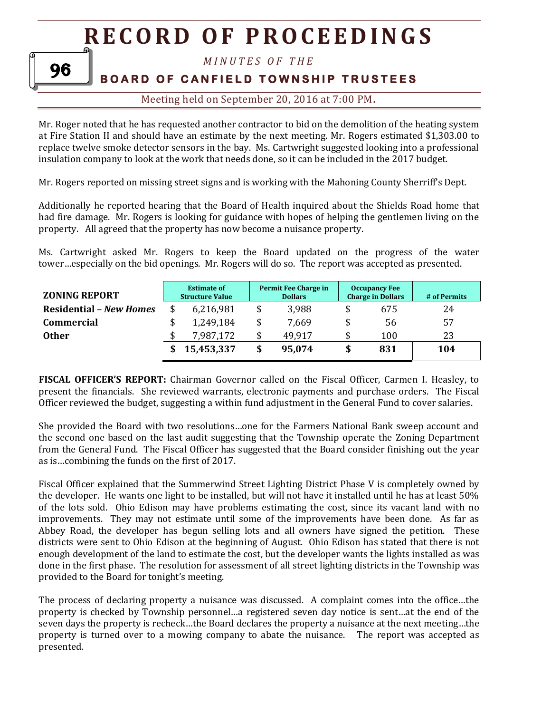# 96

# *M I N U T E S O F T H E*

# **BOARD OF CANFIELD TOWNSHIP TRUSTEES**

# Meeting held on September 20, 2016 at 7:00 PM**.**

Mr. Roger noted that he has requested another contractor to bid on the demolition of the heating system at Fire Station II and should have an estimate by the next meeting. Mr. Rogers estimated \$1,303.00 to replace twelve smoke detector sensors in the bay. Ms. Cartwright suggested looking into a professional insulation company to look at the work that needs done, so it can be included in the 2017 budget.

Mr. Rogers reported on missing street signs and is working with the Mahoning County Sherriff's Dept.

Additionally he reported hearing that the Board of Health inquired about the Shields Road home that had fire damage. Mr. Rogers is looking for guidance with hopes of helping the gentlemen living on the property. All agreed that the property has now become a nuisance property.

Ms. Cartwright asked Mr. Rogers to keep the Board updated on the progress of the water tower…especially on the bid openings. Mr. Rogers will do so. The report was accepted as presented.

| <b>ZONING REPORT</b>           | <b>Estimate of</b><br><b>Structure Value</b> |            | <b>Permit Fee Charge in</b><br><b>Dollars</b> |        | <b>Occupancy Fee</b><br><b>Charge in Dollars</b> |     | # of Permits |
|--------------------------------|----------------------------------------------|------------|-----------------------------------------------|--------|--------------------------------------------------|-----|--------------|
| <b>Residential – New Homes</b> |                                              | 6,216,981  |                                               | 3,988  |                                                  | 675 | 24           |
| <b>Commercial</b>              | \$                                           | 1,249,184  |                                               | 7,669  |                                                  | 56  | 57           |
| <b>Other</b>                   |                                              | 7,987,172  |                                               | 49,917 | \$                                               | 100 | 23           |
|                                |                                              | 15,453,337 |                                               | 95,074 | \$                                               | 831 | 104          |

**FISCAL OFFICER'S REPORT:** Chairman Governor called on the Fiscal Officer, Carmen I. Heasley, to present the financials. She reviewed warrants, electronic payments and purchase orders. The Fiscal Officer reviewed the budget, suggesting a within fund adjustment in the General Fund to cover salaries.

She provided the Board with two resolutions…one for the Farmers National Bank sweep account and the second one based on the last audit suggesting that the Township operate the Zoning Department from the General Fund. The Fiscal Officer has suggested that the Board consider finishing out the year as is…combining the funds on the first of 2017.

Fiscal Officer explained that the Summerwind Street Lighting District Phase V is completely owned by the developer. He wants one light to be installed, but will not have it installed until he has at least 50% of the lots sold. Ohio Edison may have problems estimating the cost, since its vacant land with no improvements. They may not estimate until some of the improvements have been done. As far as Abbey Road, the developer has begun selling lots and all owners have signed the petition. These districts were sent to Ohio Edison at the beginning of August. Ohio Edison has stated that there is not enough development of the land to estimate the cost, but the developer wants the lights installed as was done in the first phase. The resolution for assessment of all street lighting districts in the Township was provided to the Board for tonight's meeting.

The process of declaring property a nuisance was discussed. A complaint comes into the office…the property is checked by Township personnel…a registered seven day notice is sent…at the end of the seven days the property is recheck…the Board declares the property a nuisance at the next meeting…the property is turned over to a mowing company to abate the nuisance. The report was accepted as presented.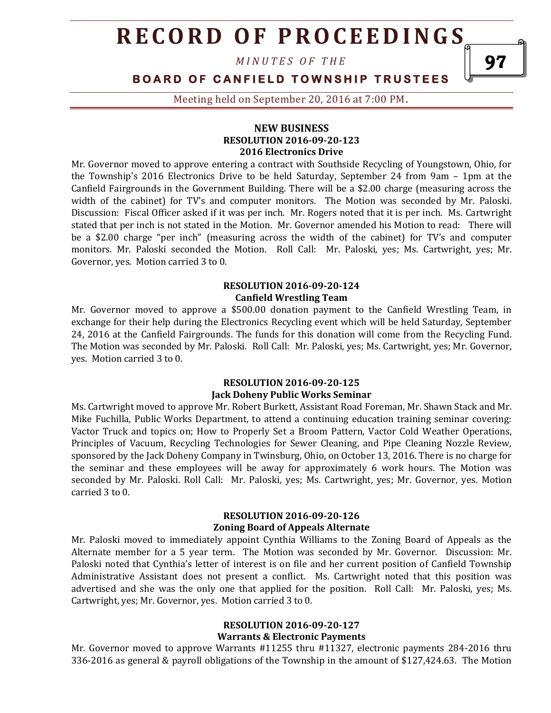*M I N U T E S O F T H E* 

# **BOARD OF CANFIELD TOWNSHIP TRUSTEES**

Meeting held on September 20, 2016 at 7:00 PM**.**

### **NEW BUSINESS RESOLUTION 2016-09-20-123 2016 Electronics Drive**

Mr. Governor moved to approve entering a contract with Southside Recycling of Youngstown, Ohio, for the Township's 2016 Electronics Drive to be held Saturday, September 24 from 9am – 1pm at the Canfield Fairgrounds in the Government Building. There will be a \$2.00 charge (measuring across the width of the cabinet) for TV's and computer monitors. The Motion was seconded by Mr. Paloski. Discussion: Fiscal Officer asked if it was per inch. Mr. Rogers noted that it is per inch. Ms. Cartwright stated that per inch is not stated in the Motion. Mr. Governor amended his Motion to read: There will be a \$2.00 charge "per inch" (measuring across the width of the cabinet) for TV's and computer monitors. Mr. Paloski seconded the Motion. Roll Call: Mr. Paloski, yes; Ms. Cartwright, yes; Mr. Governor, yes. Motion carried 3 to 0.

### **RESOLUTION 2016-09-20-124 Canfield Wrestling Team**

Mr. Governor moved to approve a \$500.00 donation payment to the Canfield Wrestling Team, in exchange for their help during the Electronics Recycling event which will be held Saturday, September 24, 2016 at the Canfield Fairgrounds. The funds for this donation will come from the Recycling Fund. The Motion was seconded by Mr. Paloski. Roll Call: Mr. Paloski, yes; Ms. Cartwright, yes; Mr. Governor, yes. Motion carried 3 to 0.

#### **RESOLUTION 2016-09-20-125 Jack Doheny Public Works Seminar**

Ms. Cartwright moved to approve Mr. Robert Burkett, Assistant Road Foreman, Mr. Shawn Stack and Mr. Mike Fuchilla, Public Works Department, to attend a continuing education training seminar covering: Vactor Truck and topics on; How to Properly Set a Broom Pattern, Vactor Cold Weather Operations, Principles of Vacuum, Recycling Technologies for Sewer Cleaning, and Pipe Cleaning Nozzle Review, sponsored by the Jack Doheny Company in Twinsburg, Ohio, on October 13, 2016. There is no charge for the seminar and these employees will be away for approximately 6 work hours. The Motion was seconded by Mr. Paloski. Roll Call: Mr. Paloski, yes; Ms. Cartwright, yes; Mr. Governor, yes. Motion carried 3 to 0.

### **RESOLUTION 2016-09-20-126 Zoning Board of Appeals Alternate**

Mr. Paloski moved to immediately appoint Cynthia Williams to the Zoning Board of Appeals as the Alternate member for a 5 year term. The Motion was seconded by Mr. Governor. Discussion: Mr. Paloski noted that Cynthia's letter of interest is on file and her current position of Canfield Township Administrative Assistant does not present a conflict. Ms. Cartwright noted that this position was advertised and she was the only one that applied for the position. Roll Call: Mr. Paloski, yes; Ms. Cartwright, yes; Mr. Governor, yes. Motion carried 3 to 0.

#### **RESOLUTION 2016-09-20-127 Warrants & Electronic Payments**

Mr. Governor moved to approve Warrants #11255 thru #11327, electronic payments 284-2016 thru 336-2016 as general & payroll obligations of the Township in the amount of \$127,424.63. The Motion

97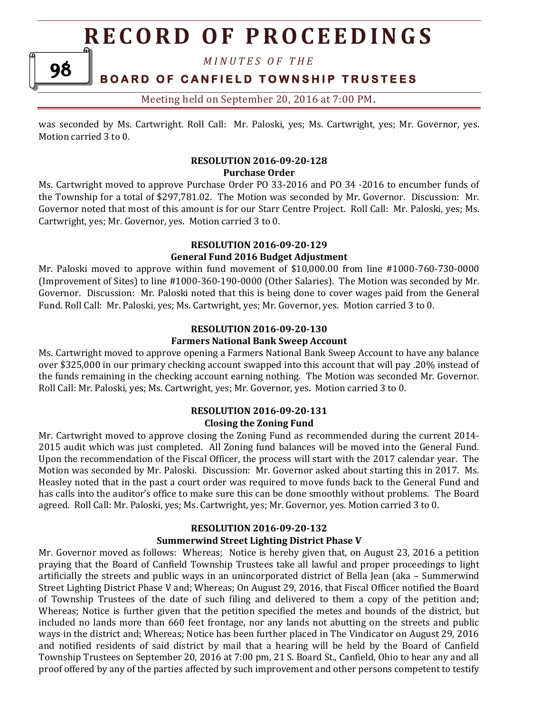*M I N U T E S O F T H E* 

# **BOARD OF CANFIELD TOWNSHIP TRUSTEES**

98

Meeting held on September 20, 2016 at 7:00 PM**.**

was seconded by Ms. Cartwright. Roll Call: Mr. Paloski, yes; Ms. Cartwright, yes; Mr. Governor, yes. Motion carried 3 to 0.

### **RESOLUTION 2016-09-20-128 Purchase Order**

Ms. Cartwright moved to approve Purchase Order PO 33-2016 and PO 34 -2016 to encumber funds of the Township for a total of \$297,781.02. The Motion was seconded by Mr. Governor. Discussion: Mr. Governor noted that most of this amount is for our Starr Centre Project. Roll Call: Mr. Paloski, yes; Ms. Cartwright, yes; Mr. Governor, yes. Motion carried 3 to 0.

## **RESOLUTION 2016-09-20-129 General Fund 2016 Budget Adjustment**

Mr. Paloski moved to approve within fund movement of \$10,000.00 from line #1000-760-730-0000 (Improvement of Sites) to line #1000-360-190-0000 (Other Salaries). The Motion was seconded by Mr. Governor. Discussion: Mr. Paloski noted that this is being done to cover wages paid from the General Fund. Roll Call: Mr. Paloski, yes; Ms. Cartwright, yes; Mr. Governor, yes. Motion carried 3 to 0.

## **RESOLUTION 2016-09-20-130 Farmers National Bank Sweep Account**

Ms. Cartwright moved to approve opening a Farmers National Bank Sweep Account to have any balance over \$325,000 in our primary checking account swapped into this account that will pay .20% instead of the funds remaining in the checking account earning nothing. The Motion was seconded Mr. Governor. Roll Call: Mr. Paloski, yes; Ms. Cartwright, yes; Mr. Governor, yes. Motion carried 3 to 0.

# **RESOLUTION 2016-09-20-131 Closing the Zoning Fund**

Mr. Cartwright moved to approve closing the Zoning Fund as recommended during the current 2014- 2015 audit which was just completed. All Zoning fund balances will be moved into the General Fund. Upon the recommendation of the Fiscal Officer, the process will start with the 2017 calendar year. The Motion was seconded by Mr. Paloski. Discussion: Mr. Governor asked about starting this in 2017. Ms. Heasley noted that in the past a court order was required to move funds back to the General Fund and has calls into the auditor's office to make sure this can be done smoothly without problems. The Board agreed. Roll Call: Mr. Paloski, yes; Ms. Cartwright, yes; Mr. Governor, yes. Motion carried 3 to 0.

# **RESOLUTION 2016-09-20-132**

## **Summerwind Street Lighting District Phase V**

Mr. Governor moved as follows: Whereas; Notice is hereby given that, on August 23, 2016 a petition praying that the Board of Canfield Township Trustees take all lawful and proper proceedings to light artificially the streets and public ways in an unincorporated district of Bella Jean (aka – Summerwind Street Lighting District Phase V and; Whereas; On August 29, 2016, that Fiscal Officer notified the Board of Township Trustees of the date of such filing and delivered to them a copy of the petition and; Whereas; Notice is further given that the petition specified the metes and bounds of the district, but included no lands more than 660 feet frontage, nor any lands not abutting on the streets and public ways in the district and; Whereas; Notice has been further placed in The Vindicator on August 29, 2016 and notified residents of said district by mail that a hearing will be held by the Board of Canfield Township Trustees on September 20, 2016 at 7:00 pm, 21 S. Board St., Canfield, Ohio to hear any and all proof offered by any of the parties affected by such improvement and other persons competent to testify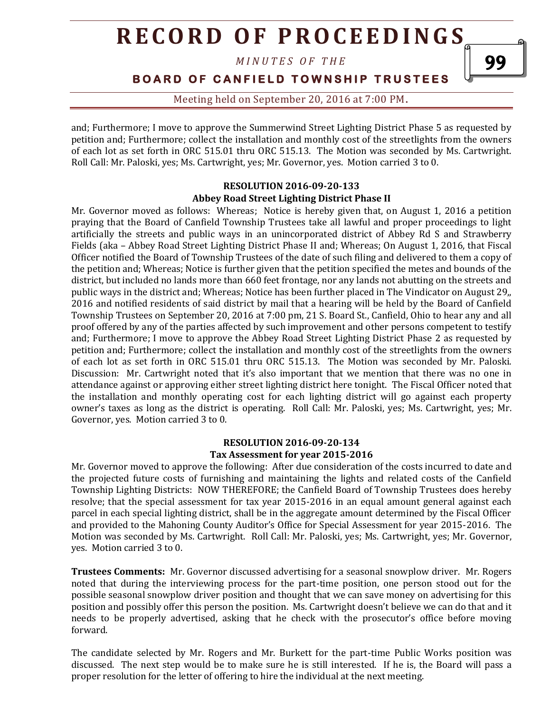*M I N U T E S O F T H E* 

**BOARD OF CANFIELD TOWNSHIP TRUSTEES** 

Meeting held on September 20, 2016 at 7:00 PM**.**

and; Furthermore; I move to approve the Summerwind Street Lighting District Phase 5 as requested by petition and; Furthermore; collect the installation and monthly cost of the streetlights from the owners of each lot as set forth in ORC 515.01 thru ORC 515.13. The Motion was seconded by Ms. Cartwright. Roll Call: Mr. Paloski, yes; Ms. Cartwright, yes; Mr. Governor, yes. Motion carried 3 to 0.

### **RESOLUTION 2016-09-20-133 Abbey Road Street Lighting District Phase II**

Mr. Governor moved as follows: Whereas; Notice is hereby given that, on August 1, 2016 a petition praying that the Board of Canfield Township Trustees take all lawful and proper proceedings to light artificially the streets and public ways in an unincorporated district of Abbey Rd S and Strawberry Fields (aka – Abbey Road Street Lighting District Phase II and; Whereas; On August 1, 2016, that Fiscal Officer notified the Board of Township Trustees of the date of such filing and delivered to them a copy of the petition and; Whereas; Notice is further given that the petition specified the metes and bounds of the district, but included no lands more than 660 feet frontage, nor any lands not abutting on the streets and public ways in the district and; Whereas; Notice has been further placed in The Vindicator on August 29,, 2016 and notified residents of said district by mail that a hearing will be held by the Board of Canfield Township Trustees on September 20, 2016 at 7:00 pm, 21 S. Board St., Canfield, Ohio to hear any and all proof offered by any of the parties affected by such improvement and other persons competent to testify and; Furthermore; I move to approve the Abbey Road Street Lighting District Phase 2 as requested by petition and; Furthermore; collect the installation and monthly cost of the streetlights from the owners of each lot as set forth in ORC 515.01 thru ORC 515.13. The Motion was seconded by Mr. Paloski. Discussion: Mr. Cartwright noted that it's also important that we mention that there was no one in attendance against or approving either street lighting district here tonight. The Fiscal Officer noted that the installation and monthly operating cost for each lighting district will go against each property owner's taxes as long as the district is operating. Roll Call: Mr. Paloski, yes; Ms. Cartwright, yes; Mr. Governor, yes. Motion carried 3 to 0.

### **RESOLUTION 2016-09-20-134 Tax Assessment for year 2015-2016**

Mr. Governor moved to approve the following: After due consideration of the costs incurred to date and the projected future costs of furnishing and maintaining the lights and related costs of the Canfield Township Lighting Districts: NOW THEREFORE; the Canfield Board of Township Trustees does hereby resolve; that the special assessment for tax year 2015-2016 in an equal amount general against each parcel in each special lighting district, shall be in the aggregate amount determined by the Fiscal Officer and provided to the Mahoning County Auditor's Office for Special Assessment for year 2015-2016. The Motion was seconded by Ms. Cartwright. Roll Call: Mr. Paloski, yes; Ms. Cartwright, yes; Mr. Governor, yes. Motion carried 3 to 0.

**Trustees Comments:** Mr. Governor discussed advertising for a seasonal snowplow driver. Mr. Rogers noted that during the interviewing process for the part-time position, one person stood out for the possible seasonal snowplow driver position and thought that we can save money on advertising for this position and possibly offer this person the position. Ms. Cartwright doesn't believe we can do that and it needs to be properly advertised, asking that he check with the prosecutor's office before moving forward.

The candidate selected by Mr. Rogers and Mr. Burkett for the part-time Public Works position was discussed. The next step would be to make sure he is still interested. If he is, the Board will pass a proper resolution for the letter of offering to hire the individual at the next meeting.

99